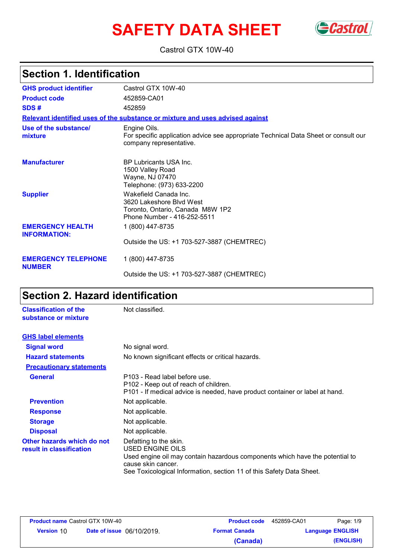# **SAFETY DATA SHEET** Gastrol



Castrol GTX 10W-40

# **Section 1. Identification**

| <b>GHS product identifier</b>                  | Castrol GTX 10W-40                                                                                                             |
|------------------------------------------------|--------------------------------------------------------------------------------------------------------------------------------|
| <b>Product code</b>                            | 452859-CA01                                                                                                                    |
| SDS#                                           | 452859                                                                                                                         |
|                                                | Relevant identified uses of the substance or mixture and uses advised against                                                  |
| Use of the substance/<br>mixture               | Engine Oils.<br>For specific application advice see appropriate Technical Data Sheet or consult our<br>company representative. |
| <b>Manufacturer</b>                            | <b>BP Lubricants USA Inc.</b><br>1500 Valley Road<br>Wayne, NJ 07470<br>Telephone: (973) 633-2200                              |
| <b>Supplier</b>                                | Wakefield Canada Inc.<br>3620 Lakeshore Blvd West<br>Toronto, Ontario, Canada M8W 1P2<br>Phone Number - 416-252-5511           |
| <b>EMERGENCY HEALTH</b><br><b>INFORMATION:</b> | 1 (800) 447-8735                                                                                                               |
|                                                | Outside the US: +1 703-527-3887 (CHEMTREC)                                                                                     |
| <b>EMERGENCY TELEPHONE</b><br><b>NUMBER</b>    | 1 (800) 447-8735                                                                                                               |
|                                                | Outside the US: +1 703-527-3887 (CHEMTREC)                                                                                     |

# **Section 2. Hazard identification**

| <b>Classification of the</b><br>substance or mixture   | Not classified.                                                                                                                                                                                                          |
|--------------------------------------------------------|--------------------------------------------------------------------------------------------------------------------------------------------------------------------------------------------------------------------------|
| <b>GHS label elements</b>                              |                                                                                                                                                                                                                          |
| <b>Signal word</b>                                     | No signal word.                                                                                                                                                                                                          |
| <b>Hazard statements</b>                               | No known significant effects or critical hazards.                                                                                                                                                                        |
| <b>Precautionary statements</b>                        |                                                                                                                                                                                                                          |
| <b>General</b>                                         | P103 - Read label before use.<br>P102 - Keep out of reach of children.<br>P101 - If medical advice is needed, have product container or label at hand.                                                                   |
| <b>Prevention</b>                                      | Not applicable.                                                                                                                                                                                                          |
| <b>Response</b>                                        | Not applicable.                                                                                                                                                                                                          |
| <b>Storage</b>                                         | Not applicable.                                                                                                                                                                                                          |
| <b>Disposal</b>                                        | Not applicable.                                                                                                                                                                                                          |
| Other hazards which do not<br>result in classification | Defatting to the skin.<br>USED ENGINE OILS<br>Used engine oil may contain hazardous components which have the potential to<br>cause skin cancer.<br>See Toxicological Information, section 11 of this Safety Data Sheet. |

| <b>Product name Castrol GTX 10W-40</b> |                                  | <b>Product code</b>  | 452859-CA01 | Page: 1/9               |
|----------------------------------------|----------------------------------|----------------------|-------------|-------------------------|
| <b>Version 10</b>                      | <b>Date of issue</b> 06/10/2019. | <b>Format Canada</b> |             | <b>Language ENGLISH</b> |
|                                        |                                  | (Canada)             |             | (ENGLISH)               |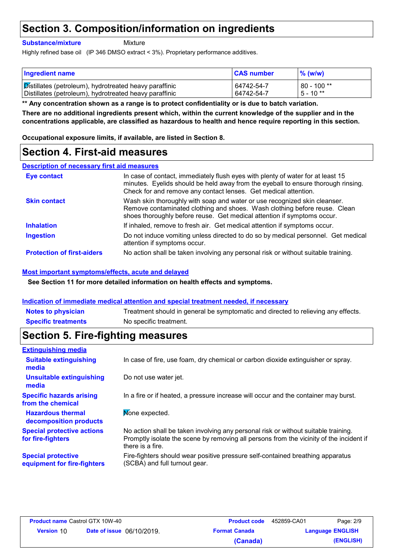### **Section 3. Composition/information on ingredients**

#### **Substance/mixture**

**Mixture** 

Highly refined base oil (IP 346 DMSO extract < 3%). Proprietary performance additives.

| <b>Ingredient name</b>                                 | <b>CAS number</b> | $\frac{9}{6}$ (w/w) |
|--------------------------------------------------------|-------------------|---------------------|
| Distillates (petroleum), hydrotreated heavy paraffinic | 64742-54-7        | $80 - 100$ **       |
| Distillates (petroleum), hydrotreated heavy paraffinic | 64742-54-7        | $5 - 10**$          |

**There are no additional ingredients present which, within the current knowledge of the supplier and in the concentrations applicable, are classified as hazardous to health and hence require reporting in this section. \*\* Any concentration shown as a range is to protect confidentiality or is due to batch variation.**

**Occupational exposure limits, if available, are listed in Section 8.**

### **Section 4. First-aid measures**

**Description of necessary first aid measures**

| <b>Eye contact</b>                | In case of contact, immediately flush eyes with plenty of water for at least 15<br>minutes. Eyelids should be held away from the eyeball to ensure thorough rinsing.<br>Check for and remove any contact lenses. Get medical attention. |  |
|-----------------------------------|-----------------------------------------------------------------------------------------------------------------------------------------------------------------------------------------------------------------------------------------|--|
| <b>Skin contact</b>               | Wash skin thoroughly with soap and water or use recognized skin cleanser.<br>Remove contaminated clothing and shoes. Wash clothing before reuse. Clean<br>shoes thoroughly before reuse. Get medical attention if symptoms occur.       |  |
| <b>Inhalation</b>                 | If inhaled, remove to fresh air. Get medical attention if symptoms occur.                                                                                                                                                               |  |
| <b>Ingestion</b>                  | Do not induce vomiting unless directed to do so by medical personnel. Get medical<br>attention if symptoms occur.                                                                                                                       |  |
| <b>Protection of first-aiders</b> | No action shall be taken involving any personal risk or without suitable training.                                                                                                                                                      |  |

#### **Most important symptoms/effects, acute and delayed**

**See Section 11 for more detailed information on health effects and symptoms.**

#### **Indication of immediate medical attention and special treatment needed, if necessary**

**Notes to physician** Treatment should in general be symptomatic and directed to relieving any effects. **Specific treatments** No specific treatment.

### **Section 5. Fire-fighting measures**

| <b>Extinguishing media</b>                               |                                                                                                                                                                                                   |
|----------------------------------------------------------|---------------------------------------------------------------------------------------------------------------------------------------------------------------------------------------------------|
| <b>Suitable extinguishing</b><br>media                   | In case of fire, use foam, dry chemical or carbon dioxide extinguisher or spray.                                                                                                                  |
| <b>Unsuitable extinguishing</b><br>media                 | Do not use water jet.                                                                                                                                                                             |
| <b>Specific hazards arising</b><br>from the chemical     | In a fire or if heated, a pressure increase will occur and the container may burst.                                                                                                               |
| <b>Hazardous thermal</b><br>decomposition products       | Mone expected.                                                                                                                                                                                    |
| <b>Special protective actions</b><br>for fire-fighters   | No action shall be taken involving any personal risk or without suitable training.<br>Promptly isolate the scene by removing all persons from the vicinity of the incident if<br>there is a fire. |
| <b>Special protective</b><br>equipment for fire-fighters | Fire-fighters should wear positive pressure self-contained breathing apparatus<br>(SCBA) and full turnout gear.                                                                                   |

| <b>Product name Castrol GTX 10W-40</b> |                                  | <b>Product code</b>  | 452859-CA01 | Page: 2/9               |
|----------------------------------------|----------------------------------|----------------------|-------------|-------------------------|
| <b>Version 10</b>                      | <b>Date of issue</b> 06/10/2019. | <b>Format Canada</b> |             | <b>Language ENGLISH</b> |
|                                        |                                  | (Canada)             |             | (ENGLISH)               |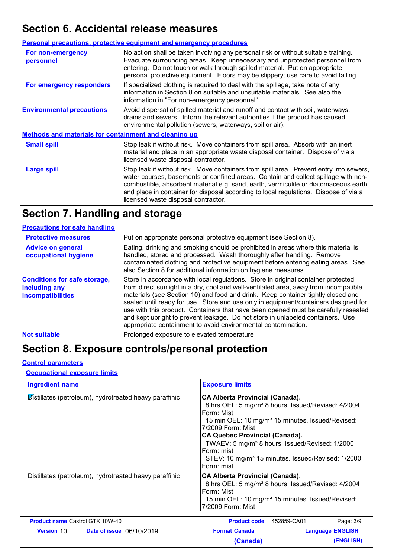### **Section 6. Accidental release measures**

|                                                              | <b>Personal precautions, protective equipment and emergency procedures</b>                                                                                                                                                                                                                                                                                                                         |  |
|--------------------------------------------------------------|----------------------------------------------------------------------------------------------------------------------------------------------------------------------------------------------------------------------------------------------------------------------------------------------------------------------------------------------------------------------------------------------------|--|
| For non-emergency<br>personnel                               | No action shall be taken involving any personal risk or without suitable training.<br>Evacuate surrounding areas. Keep unnecessary and unprotected personnel from<br>entering. Do not touch or walk through spilled material. Put on appropriate<br>personal protective equipment. Floors may be slippery; use care to avoid falling.                                                              |  |
| For emergency responders                                     | If specialized clothing is required to deal with the spillage, take note of any<br>information in Section 8 on suitable and unsuitable materials. See also the<br>information in "For non-emergency personnel".                                                                                                                                                                                    |  |
| <b>Environmental precautions</b>                             | Avoid dispersal of spilled material and runoff and contact with soil, waterways,<br>drains and sewers. Inform the relevant authorities if the product has caused<br>environmental pollution (sewers, waterways, soil or air).                                                                                                                                                                      |  |
| <b>Methods and materials for containment and cleaning up</b> |                                                                                                                                                                                                                                                                                                                                                                                                    |  |
| <b>Small spill</b>                                           | Stop leak if without risk. Move containers from spill area. Absorb with an inert<br>material and place in an appropriate waste disposal container. Dispose of via a<br>licensed waste disposal contractor.                                                                                                                                                                                         |  |
| <b>Large spill</b>                                           | Stop leak if without risk. Move containers from spill area. Prevent entry into sewers,<br>water courses, basements or confined areas. Contain and collect spillage with non-<br>combustible, absorbent material e.g. sand, earth, vermiculite or diatomaceous earth<br>and place in container for disposal according to local regulations. Dispose of via a<br>licensed waste disposal contractor. |  |
|                                                              |                                                                                                                                                                                                                                                                                                                                                                                                    |  |

### **Section 7. Handling and storage**

| <b>Precautions for safe handling</b>                                      |                                                                                                                                                                                                                                                                                                                                                                                                                                                                                                                                                                                               |
|---------------------------------------------------------------------------|-----------------------------------------------------------------------------------------------------------------------------------------------------------------------------------------------------------------------------------------------------------------------------------------------------------------------------------------------------------------------------------------------------------------------------------------------------------------------------------------------------------------------------------------------------------------------------------------------|
| <b>Protective measures</b>                                                | Put on appropriate personal protective equipment (see Section 8).                                                                                                                                                                                                                                                                                                                                                                                                                                                                                                                             |
| <b>Advice on general</b><br>occupational hygiene                          | Eating, drinking and smoking should be prohibited in areas where this material is<br>handled, stored and processed. Wash thoroughly after handling. Remove<br>contaminated clothing and protective equipment before entering eating areas. See<br>also Section 8 for additional information on hygiene measures.                                                                                                                                                                                                                                                                              |
| <b>Conditions for safe storage,</b><br>including any<br>incompatibilities | Store in accordance with local regulations. Store in original container protected<br>from direct sunlight in a dry, cool and well-ventilated area, away from incompatible<br>materials (see Section 10) and food and drink. Keep container tightly closed and<br>sealed until ready for use. Store and use only in equipment/containers designed for<br>use with this product. Containers that have been opened must be carefully resealed<br>and kept upright to prevent leakage. Do not store in unlabeled containers. Use<br>appropriate containment to avoid environmental contamination. |
| <b>Not suitable</b>                                                       | Prolonged exposure to elevated temperature                                                                                                                                                                                                                                                                                                                                                                                                                                                                                                                                                    |

# **Section 8. Exposure controls/personal protection**

#### **Control parameters**

#### **Occupational exposure limits**

| <b>Ingredient name</b>                                 |                                  | <b>Exposure limits</b>                                                                                                                                                                                                                                                                                                                                                                                          |                         |
|--------------------------------------------------------|----------------------------------|-----------------------------------------------------------------------------------------------------------------------------------------------------------------------------------------------------------------------------------------------------------------------------------------------------------------------------------------------------------------------------------------------------------------|-------------------------|
| Distillates (petroleum), hydrotreated heavy paraffinic |                                  | <b>CA Alberta Provincial (Canada).</b><br>8 hrs OEL: 5 mg/m <sup>3</sup> 8 hours. Issued/Revised: 4/2004<br>Form: Mist<br>15 min OEL: 10 mg/m <sup>3</sup> 15 minutes. Issued/Revised:<br>7/2009 Form: Mist<br><b>CA Quebec Provincial (Canada).</b><br>TWAEV: 5 mg/m <sup>3</sup> 8 hours. Issued/Revised: 1/2000<br>Form: mist<br>STEV: 10 mg/m <sup>3</sup> 15 minutes. Issued/Revised: 1/2000<br>Form: mist |                         |
| Distillates (petroleum), hydrotreated heavy paraffinic |                                  | <b>CA Alberta Provincial (Canada).</b><br>8 hrs OEL: 5 mg/m <sup>3</sup> 8 hours. Issued/Revised: 4/2004<br>Form: Mist<br>15 min OEL: 10 mg/m <sup>3</sup> 15 minutes. Issued/Revised:<br>7/2009 Form: Mist                                                                                                                                                                                                     |                         |
| <b>Product name Castrol GTX 10W-40</b>                 |                                  | <b>Product code</b><br>452859-CA01                                                                                                                                                                                                                                                                                                                                                                              | Page: 3/9               |
| <b>Version 10</b>                                      | <b>Date of issue</b> 06/10/2019. | <b>Format Canada</b>                                                                                                                                                                                                                                                                                                                                                                                            | <b>Language ENGLISH</b> |
|                                                        |                                  | (Canada)                                                                                                                                                                                                                                                                                                                                                                                                        | (ENGLISH)               |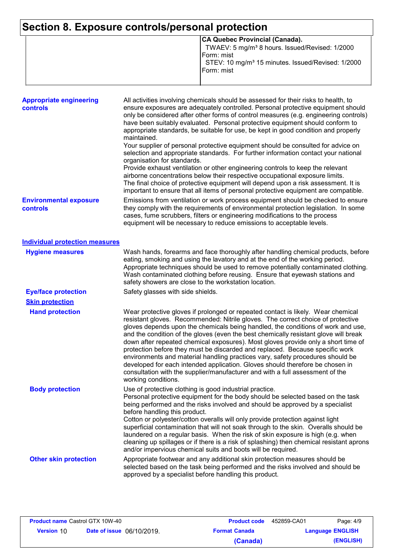# **Section 8. Exposure controls/personal protection**

| CA Quebec Provincial (Canada).                                |
|---------------------------------------------------------------|
| TWAEV: 5 mg/m <sup>3</sup> 8 hours. Issued/Revised: 1/2000    |
| IForm: mist                                                   |
| STEV: 10 mg/m <sup>3</sup> 15 minutes. Issued/Revised: 1/2000 |
| IForm: mist                                                   |
|                                                               |
|                                                               |

| <b>Appropriate engineering</b><br><b>controls</b> | All activities involving chemicals should be assessed for their risks to health, to<br>ensure exposures are adequately controlled. Personal protective equipment should<br>only be considered after other forms of control measures (e.g. engineering controls)<br>have been suitably evaluated. Personal protective equipment should conform to<br>appropriate standards, be suitable for use, be kept in good condition and properly<br>maintained.<br>Your supplier of personal protective equipment should be consulted for advice on<br>selection and appropriate standards. For further information contact your national<br>organisation for standards.<br>Provide exhaust ventilation or other engineering controls to keep the relevant<br>airborne concentrations below their respective occupational exposure limits.<br>The final choice of protective equipment will depend upon a risk assessment. It is<br>important to ensure that all items of personal protective equipment are compatible. |
|---------------------------------------------------|---------------------------------------------------------------------------------------------------------------------------------------------------------------------------------------------------------------------------------------------------------------------------------------------------------------------------------------------------------------------------------------------------------------------------------------------------------------------------------------------------------------------------------------------------------------------------------------------------------------------------------------------------------------------------------------------------------------------------------------------------------------------------------------------------------------------------------------------------------------------------------------------------------------------------------------------------------------------------------------------------------------|
| <b>Environmental exposure</b><br>controls         | Emissions from ventilation or work process equipment should be checked to ensure<br>they comply with the requirements of environmental protection legislation. In some<br>cases, fume scrubbers, filters or engineering modifications to the process<br>equipment will be necessary to reduce emissions to acceptable levels.                                                                                                                                                                                                                                                                                                                                                                                                                                                                                                                                                                                                                                                                                 |
| <b>Individual protection measures</b>             |                                                                                                                                                                                                                                                                                                                                                                                                                                                                                                                                                                                                                                                                                                                                                                                                                                                                                                                                                                                                               |
| <b>Hygiene measures</b>                           | Wash hands, forearms and face thoroughly after handling chemical products, before<br>eating, smoking and using the lavatory and at the end of the working period.<br>Appropriate techniques should be used to remove potentially contaminated clothing.<br>Wash contaminated clothing before reusing. Ensure that eyewash stations and<br>safety showers are close to the workstation location.                                                                                                                                                                                                                                                                                                                                                                                                                                                                                                                                                                                                               |
| <b>Eye/face protection</b>                        | Safety glasses with side shields.                                                                                                                                                                                                                                                                                                                                                                                                                                                                                                                                                                                                                                                                                                                                                                                                                                                                                                                                                                             |
| <b>Skin protection</b>                            |                                                                                                                                                                                                                                                                                                                                                                                                                                                                                                                                                                                                                                                                                                                                                                                                                                                                                                                                                                                                               |
| <b>Hand protection</b>                            | Wear protective gloves if prolonged or repeated contact is likely. Wear chemical<br>resistant gloves. Recommended: Nitrile gloves. The correct choice of protective<br>gloves depends upon the chemicals being handled, the conditions of work and use,<br>and the condition of the gloves (even the best chemically resistant glove will break<br>down after repeated chemical exposures). Most gloves provide only a short time of<br>protection before they must be discarded and replaced. Because specific work<br>environments and material handling practices vary, safety procedures should be<br>developed for each intended application. Gloves should therefore be chosen in<br>consultation with the supplier/manufacturer and with a full assessment of the<br>working conditions.                                                                                                                                                                                                               |
| <b>Body protection</b>                            | Use of protective clothing is good industrial practice.<br>Personal protective equipment for the body should be selected based on the task<br>being performed and the risks involved and should be approved by a specialist<br>before handling this product.<br>Cotton or polyester/cotton overalls will only provide protection against light<br>superficial contamination that will not soak through to the skin. Overalls should be<br>laundered on a regular basis. When the risk of skin exposure is high (e.g. when<br>cleaning up spillages or if there is a risk of splashing) then chemical resistant aprons<br>and/or impervious chemical suits and boots will be required.                                                                                                                                                                                                                                                                                                                         |
| <b>Other skin protection</b>                      | Appropriate footwear and any additional skin protection measures should be<br>selected based on the task being performed and the risks involved and should be<br>approved by a specialist before handling this product.                                                                                                                                                                                                                                                                                                                                                                                                                                                                                                                                                                                                                                                                                                                                                                                       |

| <b>Product name Castrol GTX 10W-40</b> |                                  | <b>Product code</b> | 452859-CA01          | Page: 4/9               |           |
|----------------------------------------|----------------------------------|---------------------|----------------------|-------------------------|-----------|
| <b>Version 10</b>                      | <b>Date of issue</b> 06/10/2019. |                     | <b>Format Canada</b> | <b>Language ENGLISH</b> |           |
|                                        |                                  |                     | (Canada)             |                         | (ENGLISH) |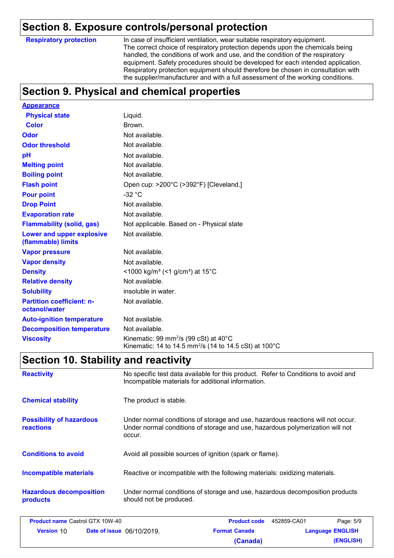### **Section 8. Exposure controls/personal protection**

**Respiratory protection**

In case of insufficient ventilation, wear suitable respiratory equipment. The correct choice of respiratory protection depends upon the chemicals being handled, the conditions of work and use, and the condition of the respiratory equipment. Safety procedures should be developed for each intended application. Respiratory protection equipment should therefore be chosen in consultation with the supplier/manufacturer and with a full assessment of the working conditions.

# **Section 9. Physical and chemical properties**

| <b>Appearance</b>                                 |                                                                                                                                              |
|---------------------------------------------------|----------------------------------------------------------------------------------------------------------------------------------------------|
| <b>Physical state</b>                             | Liquid.                                                                                                                                      |
| <b>Color</b>                                      | Brown.                                                                                                                                       |
| Odor                                              | Not available.                                                                                                                               |
| <b>Odor threshold</b>                             | Not available.                                                                                                                               |
| рH                                                | Not available.                                                                                                                               |
| <b>Melting point</b>                              | Not available.                                                                                                                               |
| <b>Boiling point</b>                              | Not available.                                                                                                                               |
| <b>Flash point</b>                                | Open cup: >200°C (>392°F) [Cleveland.]                                                                                                       |
| <b>Pour point</b>                                 | $-32 °C$                                                                                                                                     |
| <b>Drop Point</b>                                 | Not available.                                                                                                                               |
| <b>Evaporation rate</b>                           | Not available.                                                                                                                               |
| <b>Flammability (solid, gas)</b>                  | Not applicable. Based on - Physical state                                                                                                    |
| Lower and upper explosive<br>(flammable) limits   | Not available.                                                                                                                               |
| <b>Vapor pressure</b>                             | Not available.                                                                                                                               |
| <b>Vapor density</b>                              | Not available.                                                                                                                               |
| <b>Density</b>                                    | <1000 kg/m <sup>3</sup> (<1 g/cm <sup>3</sup> ) at 15 <sup>°</sup> C                                                                         |
| <b>Relative density</b>                           | Not available.                                                                                                                               |
| <b>Solubility</b>                                 | insoluble in water.                                                                                                                          |
| <b>Partition coefficient: n-</b><br>octanol/water | Not available.                                                                                                                               |
| <b>Auto-ignition temperature</b>                  | Not available.                                                                                                                               |
| <b>Decomposition temperature</b>                  | Not available.                                                                                                                               |
| <b>Viscosity</b>                                  | Kinematic: 99 mm <sup>2</sup> /s (99 cSt) at $40^{\circ}$ C<br>Kinematic: 14 to 14.5 mm <sup>2</sup> /s (14 to 14.5 cSt) at 100 $^{\circ}$ C |

### **Section 10. Stability and reactivity**

| <b>Reactivity</b>                                   | No specific test data available for this product. Refer to Conditions to avoid and<br>Incompatible materials for additional information.                                   |
|-----------------------------------------------------|----------------------------------------------------------------------------------------------------------------------------------------------------------------------------|
| <b>Chemical stability</b>                           | The product is stable.                                                                                                                                                     |
| <b>Possibility of hazardous</b><br><b>reactions</b> | Under normal conditions of storage and use, hazardous reactions will not occur.<br>Under normal conditions of storage and use, hazardous polymerization will not<br>occur. |
| <b>Conditions to avoid</b>                          | Avoid all possible sources of ignition (spark or flame).                                                                                                                   |
| <b>Incompatible materials</b>                       | Reactive or incompatible with the following materials: oxidizing materials.                                                                                                |
| <b>Hazardous decomposition</b><br>products          | Under normal conditions of storage and use, hazardous decomposition products<br>should not be produced.                                                                    |

| <b>Product name Castrol GTX 10W-40</b> |                                  | <b>Product code</b>  | 452859-CA01 | Page: 5/9               |
|----------------------------------------|----------------------------------|----------------------|-------------|-------------------------|
| <b>Version 10</b>                      | <b>Date of issue</b> 06/10/2019. | <b>Format Canada</b> |             | <b>Language ENGLISH</b> |
|                                        |                                  | (Canada)             |             | (ENGLISH)               |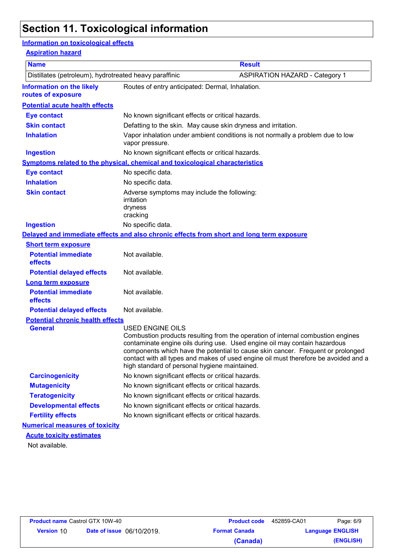# **Section 11. Toxicological information**

#### **Information on toxicological effects**

#### **Aspiration hazard**

| <b>Name</b>                                            |                                                                                                   | <b>Result</b>                                                                                                                                                                                                                                                                                                                          |
|--------------------------------------------------------|---------------------------------------------------------------------------------------------------|----------------------------------------------------------------------------------------------------------------------------------------------------------------------------------------------------------------------------------------------------------------------------------------------------------------------------------------|
| Distillates (petroleum), hydrotreated heavy paraffinic |                                                                                                   | <b>ASPIRATION HAZARD - Category 1</b>                                                                                                                                                                                                                                                                                                  |
| <b>Information on the likely</b><br>routes of exposure | Routes of entry anticipated: Dermal, Inhalation.                                                  |                                                                                                                                                                                                                                                                                                                                        |
| <b>Potential acute health effects</b>                  |                                                                                                   |                                                                                                                                                                                                                                                                                                                                        |
| <b>Eye contact</b>                                     | No known significant effects or critical hazards.                                                 |                                                                                                                                                                                                                                                                                                                                        |
| <b>Skin contact</b>                                    | Defatting to the skin. May cause skin dryness and irritation.                                     |                                                                                                                                                                                                                                                                                                                                        |
| <b>Inhalation</b>                                      | Vapor inhalation under ambient conditions is not normally a problem due to low<br>vapor pressure. |                                                                                                                                                                                                                                                                                                                                        |
| <b>Ingestion</b>                                       | No known significant effects or critical hazards.                                                 |                                                                                                                                                                                                                                                                                                                                        |
|                                                        | <b>Symptoms related to the physical, chemical and toxicological characteristics</b>               |                                                                                                                                                                                                                                                                                                                                        |
| <b>Eye contact</b>                                     | No specific data.                                                                                 |                                                                                                                                                                                                                                                                                                                                        |
| <b>Inhalation</b>                                      | No specific data.                                                                                 |                                                                                                                                                                                                                                                                                                                                        |
| <b>Skin contact</b>                                    | Adverse symptoms may include the following:<br>irritation<br>dryness<br>cracking                  |                                                                                                                                                                                                                                                                                                                                        |
| <b>Ingestion</b>                                       | No specific data.                                                                                 |                                                                                                                                                                                                                                                                                                                                        |
|                                                        | Delayed and immediate effects and also chronic effects from short and long term exposure          |                                                                                                                                                                                                                                                                                                                                        |
| <b>Short term exposure</b>                             |                                                                                                   |                                                                                                                                                                                                                                                                                                                                        |
| <b>Potential immediate</b><br>effects                  | Not available.                                                                                    |                                                                                                                                                                                                                                                                                                                                        |
| <b>Potential delayed effects</b>                       | Not available.                                                                                    |                                                                                                                                                                                                                                                                                                                                        |
| <b>Long term exposure</b>                              |                                                                                                   |                                                                                                                                                                                                                                                                                                                                        |
| <b>Potential immediate</b><br>effects                  | Not available.                                                                                    |                                                                                                                                                                                                                                                                                                                                        |
| <b>Potential delayed effects</b>                       | Not available.                                                                                    |                                                                                                                                                                                                                                                                                                                                        |
| <b>Potential chronic health effects</b>                |                                                                                                   |                                                                                                                                                                                                                                                                                                                                        |
| <b>General</b>                                         | <b>USED ENGINE OILS</b><br>high standard of personal hygiene maintained.                          | Combustion products resulting from the operation of internal combustion engines<br>contaminate engine oils during use. Used engine oil may contain hazardous<br>components which have the potential to cause skin cancer. Frequent or prolonged<br>contact with all types and makes of used engine oil must therefore be avoided and a |
| <b>Carcinogenicity</b>                                 | No known significant effects or critical hazards.                                                 |                                                                                                                                                                                                                                                                                                                                        |
| <b>Mutagenicity</b>                                    | No known significant effects or critical hazards.                                                 |                                                                                                                                                                                                                                                                                                                                        |
| <b>Teratogenicity</b>                                  | No known significant effects or critical hazards.                                                 |                                                                                                                                                                                                                                                                                                                                        |
| <b>Developmental effects</b>                           | No known significant effects or critical hazards.                                                 |                                                                                                                                                                                                                                                                                                                                        |
| <b>Fertility effects</b>                               | No known significant effects or critical hazards.                                                 |                                                                                                                                                                                                                                                                                                                                        |
| <b>Numerical measures of toxicity</b>                  |                                                                                                   |                                                                                                                                                                                                                                                                                                                                        |
| <b>Acute toxicity estimates</b><br>Not available.      |                                                                                                   |                                                                                                                                                                                                                                                                                                                                        |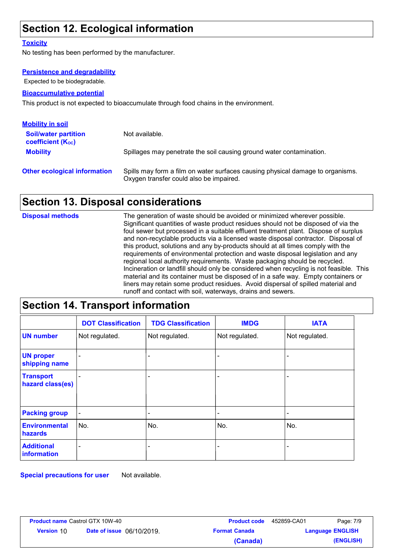# **Section 12. Ecological information**

#### **Toxicity**

No testing has been performed by the manufacturer.

#### **Persistence and degradability**

Expected to be biodegradable.

#### **Bioaccumulative potential**

This product is not expected to bioaccumulate through food chains in the environment.

| <b>Mobility in soil</b>                                 |                                                                                                                           |
|---------------------------------------------------------|---------------------------------------------------------------------------------------------------------------------------|
| <b>Soil/water partition</b><br><b>coefficient (Koc)</b> | Not available.                                                                                                            |
| <b>Mobility</b>                                         | Spillages may penetrate the soil causing ground water contamination.                                                      |
| <b>Other ecological information</b>                     | Spills may form a film on water surfaces causing physical damage to organisms.<br>Oxygen transfer could also be impaired. |

### **Section 13. Disposal considerations**

The generation of waste should be avoided or minimized wherever possible. Significant quantities of waste product residues should not be disposed of via the foul sewer but processed in a suitable effluent treatment plant. Dispose of surplus and non-recyclable products via a licensed waste disposal contractor. Disposal of this product, solutions and any by-products should at all times comply with the requirements of environmental protection and waste disposal legislation and any regional local authority requirements. Waste packaging should be recycled. Incineration or landfill should only be considered when recycling is not feasible. This material and its container must be disposed of in a safe way. Empty containers or liners may retain some product residues. Avoid dispersal of spilled material and runoff and contact with soil, waterways, drains and sewers. **Disposal methods**

#### **Section 14. Transport information**

|                                        | <b>DOT Classification</b> | <b>TDG Classification</b> | <b>IMDG</b>    | <b>IATA</b>              |
|----------------------------------------|---------------------------|---------------------------|----------------|--------------------------|
| <b>UN number</b>                       | Not regulated.            | Not regulated.            | Not regulated. | Not regulated.           |
| <b>UN proper</b><br>shipping name      |                           |                           |                | ٠                        |
| <b>Transport</b><br>hazard class(es)   |                           |                           | -              | $\overline{\phantom{0}}$ |
| <b>Packing group</b>                   | $\overline{\phantom{0}}$  |                           |                | $\overline{\phantom{0}}$ |
| <b>Environmental</b><br><b>hazards</b> | No.                       | No.                       | No.            | No.                      |
| <b>Additional</b><br>information       | $\overline{\phantom{0}}$  |                           |                | $\overline{\phantom{0}}$ |

**Special precautions for user** Not available.

| <b>Product name Castrol GTX 10W-40</b> |                                  | <b>Product code</b>  | 452859-CA01             | Page: 7/9 |
|----------------------------------------|----------------------------------|----------------------|-------------------------|-----------|
| <b>Version 10</b>                      | <b>Date of issue</b> 06/10/2019. | <b>Format Canada</b> | <b>Language ENGLISH</b> |           |
|                                        |                                  | (Canada)             |                         | (ENGLISH) |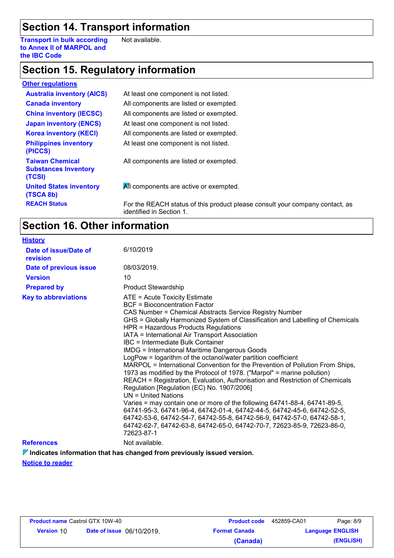# **Section 14. Transport information**

**Transport in bulk according to Annex II of MARPOL and the IBC Code** Not available.

### **Section 15. Regulatory information**

| <b>Other regulations</b>                                        |                                                                                                          |
|-----------------------------------------------------------------|----------------------------------------------------------------------------------------------------------|
| <b>Australia inventory (AICS)</b>                               | At least one component is not listed.                                                                    |
| <b>Canada inventory</b>                                         | All components are listed or exempted.                                                                   |
| <b>China inventory (IECSC)</b>                                  | All components are listed or exempted.                                                                   |
| <b>Japan inventory (ENCS)</b>                                   | At least one component is not listed.                                                                    |
| <b>Korea inventory (KECI)</b>                                   | All components are listed or exempted.                                                                   |
| <b>Philippines inventory</b><br>(PICCS)                         | At least one component is not listed.                                                                    |
| <b>Taiwan Chemical</b><br><b>Substances Inventory</b><br>(TCSI) | All components are listed or exempted.                                                                   |
| <b>United States inventory</b><br>(TSCA 8b)                     | All components are active or exempted.                                                                   |
| <b>REACH Status</b>                                             | For the REACH status of this product please consult your company contact, as<br>identified in Section 1. |

### **Section 16. Other information**

| <b>History</b>                    |                                                                                                                                                                                                                                                                                                                                                                                                                                                                                                                                                                                                                                                                                                                                                                                                                                                                                                                                                                                                                                                                                                            |
|-----------------------------------|------------------------------------------------------------------------------------------------------------------------------------------------------------------------------------------------------------------------------------------------------------------------------------------------------------------------------------------------------------------------------------------------------------------------------------------------------------------------------------------------------------------------------------------------------------------------------------------------------------------------------------------------------------------------------------------------------------------------------------------------------------------------------------------------------------------------------------------------------------------------------------------------------------------------------------------------------------------------------------------------------------------------------------------------------------------------------------------------------------|
| Date of issue/Date of<br>revision | 6/10/2019                                                                                                                                                                                                                                                                                                                                                                                                                                                                                                                                                                                                                                                                                                                                                                                                                                                                                                                                                                                                                                                                                                  |
| Date of previous issue            | 08/03/2019.                                                                                                                                                                                                                                                                                                                                                                                                                                                                                                                                                                                                                                                                                                                                                                                                                                                                                                                                                                                                                                                                                                |
| <b>Version</b>                    | 10                                                                                                                                                                                                                                                                                                                                                                                                                                                                                                                                                                                                                                                                                                                                                                                                                                                                                                                                                                                                                                                                                                         |
| <b>Prepared by</b>                | <b>Product Stewardship</b>                                                                                                                                                                                                                                                                                                                                                                                                                                                                                                                                                                                                                                                                                                                                                                                                                                                                                                                                                                                                                                                                                 |
| <b>Key to abbreviations</b>       | ATE = Acute Toxicity Estimate<br>BCF = Bioconcentration Factor<br>CAS Number = Chemical Abstracts Service Registry Number<br>GHS = Globally Harmonized System of Classification and Labelling of Chemicals<br>HPR = Hazardous Products Regulations<br>IATA = International Air Transport Association<br>IBC = Intermediate Bulk Container<br>IMDG = International Maritime Dangerous Goods<br>LogPow = logarithm of the octanol/water partition coefficient<br>MARPOL = International Convention for the Prevention of Pollution From Ships,<br>1973 as modified by the Protocol of 1978. ("Marpol" = marine pollution)<br>REACH = Registration, Evaluation, Authorisation and Restriction of Chemicals<br>Regulation [Regulation (EC) No. 1907/2006]<br>$UN = United Nations$<br>Varies = may contain one or more of the following 64741-88-4, 64741-89-5,<br>64741-95-3, 64741-96-4, 64742-01-4, 64742-44-5, 64742-45-6, 64742-52-5,<br>64742-53-6, 64742-54-7, 64742-55-8, 64742-56-9, 64742-57-0, 64742-58-1,<br>64742-62-7, 64742-63-8, 64742-65-0, 64742-70-7, 72623-85-9, 72623-86-0,<br>72623-87-1 |
| <b>References</b>                 | Not available.                                                                                                                                                                                                                                                                                                                                                                                                                                                                                                                                                                                                                                                                                                                                                                                                                                                                                                                                                                                                                                                                                             |

**Indicates information that has changed from previously issued version.**

**Notice to reader**

| <b>Product name Castrol GTX 10W-40</b> |                                  | <b>Product code</b>  | 452859-CA01             | Page: 8/9 |
|----------------------------------------|----------------------------------|----------------------|-------------------------|-----------|
| <b>Version 10</b>                      | <b>Date of issue</b> 06/10/2019. | <b>Format Canada</b> | <b>Language ENGLISH</b> |           |
|                                        |                                  | (Canada)             |                         | (ENGLISH) |